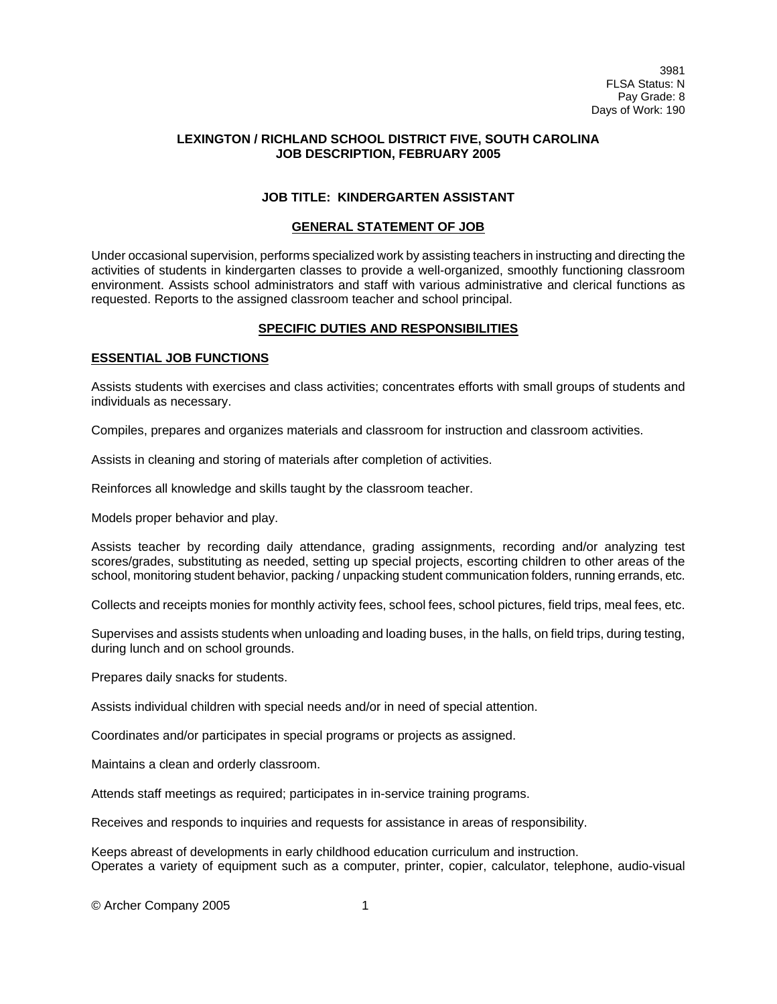# **LEXINGTON / RICHLAND SCHOOL DISTRICT FIVE, SOUTH CAROLINA JOB DESCRIPTION, FEBRUARY 2005**

# **JOB TITLE: KINDERGARTEN ASSISTANT**

#### **GENERAL STATEMENT OF JOB**

Under occasional supervision, performs specialized work by assisting teachers in instructing and directing the activities of students in kindergarten classes to provide a well-organized, smoothly functioning classroom environment. Assists school administrators and staff with various administrative and clerical functions as requested. Reports to the assigned classroom teacher and school principal.

# **SPECIFIC DUTIES AND RESPONSIBILITIES**

# **ESSENTIAL JOB FUNCTIONS**

Assists students with exercises and class activities; concentrates efforts with small groups of students and individuals as necessary.

Compiles, prepares and organizes materials and classroom for instruction and classroom activities.

Assists in cleaning and storing of materials after completion of activities.

Reinforces all knowledge and skills taught by the classroom teacher.

Models proper behavior and play.

Assists teacher by recording daily attendance, grading assignments, recording and/or analyzing test scores/grades, substituting as needed, setting up special projects, escorting children to other areas of the school, monitoring student behavior, packing / unpacking student communication folders, running errands, etc.

Collects and receipts monies for monthly activity fees, school fees, school pictures, field trips, meal fees, etc.

Supervises and assists students when unloading and loading buses, in the halls, on field trips, during testing, during lunch and on school grounds.

Prepares daily snacks for students.

Assists individual children with special needs and/or in need of special attention.

Coordinates and/or participates in special programs or projects as assigned.

Maintains a clean and orderly classroom.

Attends staff meetings as required; participates in in-service training programs.

Receives and responds to inquiries and requests for assistance in areas of responsibility.

Keeps abreast of developments in early childhood education curriculum and instruction. Operates a variety of equipment such as a computer, printer, copier, calculator, telephone, audio-visual

© Archer Company 2005 1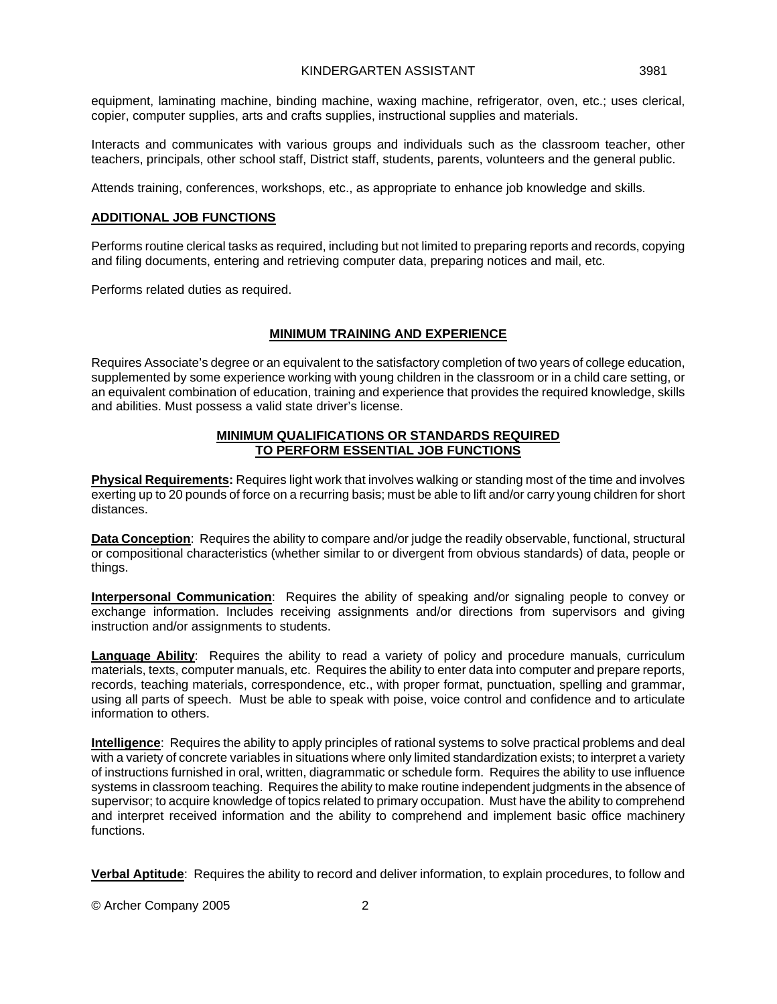equipment, laminating machine, binding machine, waxing machine, refrigerator, oven, etc.; uses clerical, copier, computer supplies, arts and crafts supplies, instructional supplies and materials.

Interacts and communicates with various groups and individuals such as the classroom teacher, other teachers, principals, other school staff, District staff, students, parents, volunteers and the general public.

Attends training, conferences, workshops, etc., as appropriate to enhance job knowledge and skills.

#### **ADDITIONAL JOB FUNCTIONS**

Performs routine clerical tasks as required, including but not limited to preparing reports and records, copying and filing documents, entering and retrieving computer data, preparing notices and mail, etc.

Performs related duties as required.

# **MINIMUM TRAINING AND EXPERIENCE**

Requires Associate's degree or an equivalent to the satisfactory completion of two years of college education, supplemented by some experience working with young children in the classroom or in a child care setting, or an equivalent combination of education, training and experience that provides the required knowledge, skills and abilities. Must possess a valid state driver's license.

#### **MINIMUM QUALIFICATIONS OR STANDARDS REQUIRED TO PERFORM ESSENTIAL JOB FUNCTIONS**

**Physical Requirements:** Requires light work that involves walking or standing most of the time and involves exerting up to 20 pounds of force on a recurring basis; must be able to lift and/or carry young children for short distances.

**Data Conception**: Requires the ability to compare and/or judge the readily observable, functional, structural or compositional characteristics (whether similar to or divergent from obvious standards) of data, people or things.

**Interpersonal Communication**: Requires the ability of speaking and/or signaling people to convey or exchange information. Includes receiving assignments and/or directions from supervisors and giving instruction and/or assignments to students.

**Language Ability**: Requires the ability to read a variety of policy and procedure manuals, curriculum materials, texts, computer manuals, etc. Requires the ability to enter data into computer and prepare reports, records, teaching materials, correspondence, etc., with proper format, punctuation, spelling and grammar, using all parts of speech. Must be able to speak with poise, voice control and confidence and to articulate information to others.

**Intelligence**: Requires the ability to apply principles of rational systems to solve practical problems and deal with a variety of concrete variables in situations where only limited standardization exists; to interpret a variety of instructions furnished in oral, written, diagrammatic or schedule form. Requires the ability to use influence systems in classroom teaching. Requires the ability to make routine independent judgments in the absence of supervisor; to acquire knowledge of topics related to primary occupation. Must have the ability to comprehend and interpret received information and the ability to comprehend and implement basic office machinery functions.

**Verbal Aptitude**: Requires the ability to record and deliver information, to explain procedures, to follow and

© Archer Company 2005 2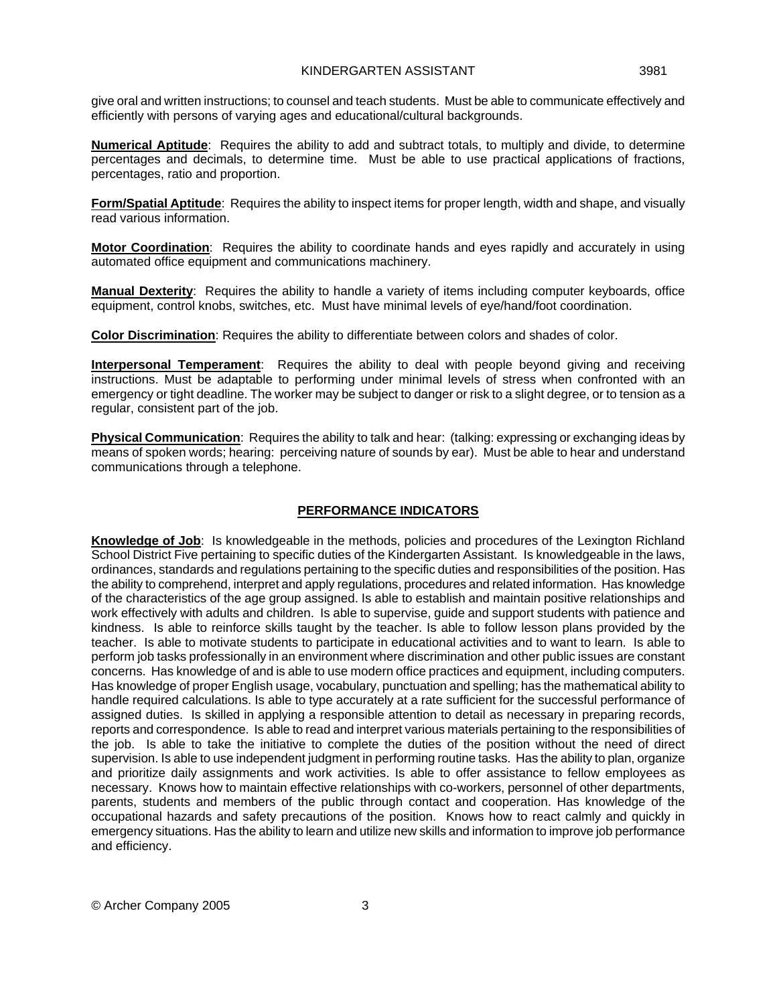give oral and written instructions; to counsel and teach students. Must be able to communicate effectively and efficiently with persons of varying ages and educational/cultural backgrounds.

**Numerical Aptitude**: Requires the ability to add and subtract totals, to multiply and divide, to determine percentages and decimals, to determine time. Must be able to use practical applications of fractions, percentages, ratio and proportion.

**Form/Spatial Aptitude**: Requires the ability to inspect items for proper length, width and shape, and visually read various information.

**Motor Coordination**: Requires the ability to coordinate hands and eyes rapidly and accurately in using automated office equipment and communications machinery.

**Manual Dexterity**: Requires the ability to handle a variety of items including computer keyboards, office equipment, control knobs, switches, etc. Must have minimal levels of eye/hand/foot coordination.

**Color Discrimination**: Requires the ability to differentiate between colors and shades of color.

**Interpersonal Temperament**: Requires the ability to deal with people beyond giving and receiving instructions. Must be adaptable to performing under minimal levels of stress when confronted with an emergency or tight deadline. The worker may be subject to danger or risk to a slight degree, or to tension as a regular, consistent part of the job.

**Physical Communication**: Requires the ability to talk and hear: (talking: expressing or exchanging ideas by means of spoken words; hearing: perceiving nature of sounds by ear). Must be able to hear and understand communications through a telephone.

# **PERFORMANCE INDICATORS**

**Knowledge of Job**: Is knowledgeable in the methods, policies and procedures of the Lexington Richland School District Five pertaining to specific duties of the Kindergarten Assistant. Is knowledgeable in the laws, ordinances, standards and regulations pertaining to the specific duties and responsibilities of the position. Has the ability to comprehend, interpret and apply regulations, procedures and related information. Has knowledge of the characteristics of the age group assigned. Is able to establish and maintain positive relationships and work effectively with adults and children. Is able to supervise, guide and support students with patience and kindness. Is able to reinforce skills taught by the teacher. Is able to follow lesson plans provided by the teacher. Is able to motivate students to participate in educational activities and to want to learn. Is able to perform job tasks professionally in an environment where discrimination and other public issues are constant concerns. Has knowledge of and is able to use modern office practices and equipment, including computers. Has knowledge of proper English usage, vocabulary, punctuation and spelling; has the mathematical ability to handle required calculations. Is able to type accurately at a rate sufficient for the successful performance of assigned duties. Is skilled in applying a responsible attention to detail as necessary in preparing records, reports and correspondence. Is able to read and interpret various materials pertaining to the responsibilities of the job. Is able to take the initiative to complete the duties of the position without the need of direct supervision. Is able to use independent judgment in performing routine tasks. Has the ability to plan, organize and prioritize daily assignments and work activities. Is able to offer assistance to fellow employees as necessary. Knows how to maintain effective relationships with co-workers, personnel of other departments, parents, students and members of the public through contact and cooperation. Has knowledge of the occupational hazards and safety precautions of the position. Knows how to react calmly and quickly in emergency situations. Has the ability to learn and utilize new skills and information to improve job performance and efficiency.